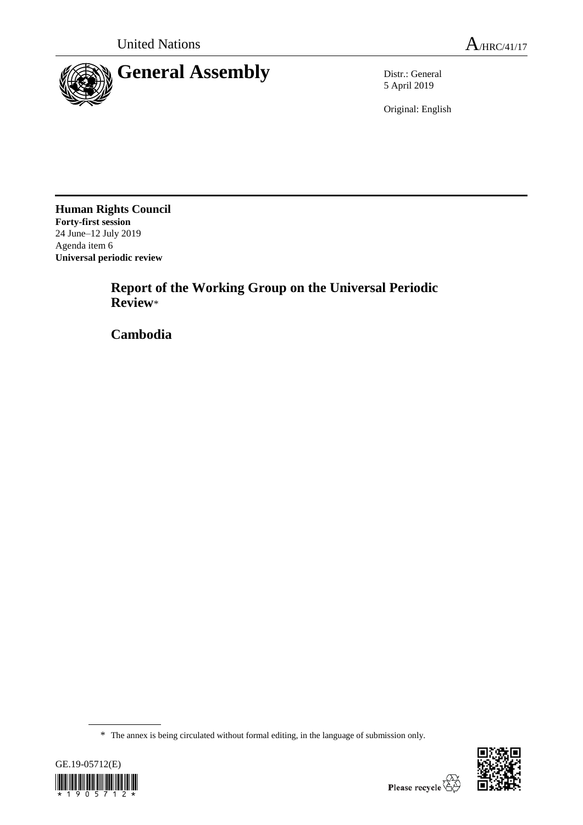

5 April 2019

Original: English

**Human Rights Council Forty-first session** 24 June–12 July 2019 Agenda item 6 **Universal periodic review**

> **Report of the Working Group on the Universal Periodic Review**\*

**Cambodia**

<sup>\*</sup> The annex is being circulated without formal editing, in the language of submission only.



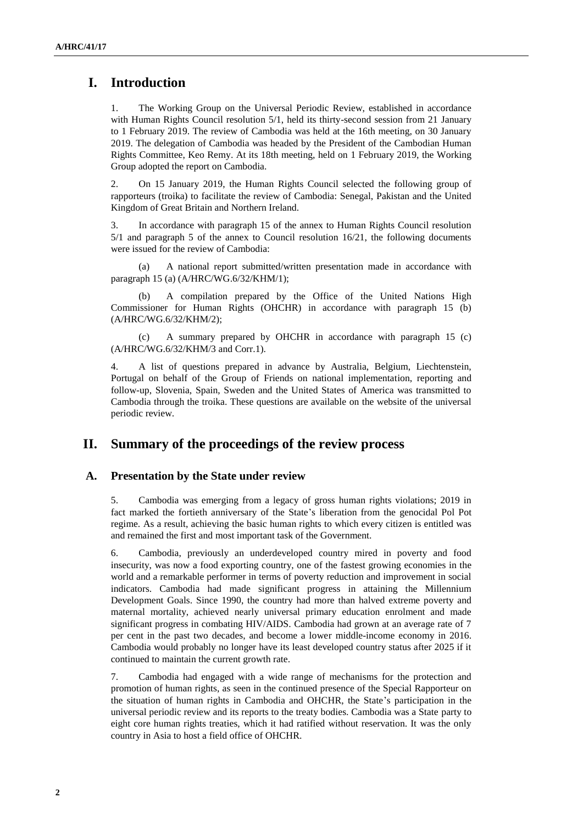# **I. Introduction**

1. The Working Group on the Universal Periodic Review, established in accordance with Human Rights Council resolution 5/1, held its thirty-second session from 21 January to 1 February 2019. The review of Cambodia was held at the 16th meeting, on 30 January 2019. The delegation of Cambodia was headed by the President of the Cambodian Human Rights Committee, Keo Remy. At its 18th meeting, held on 1 February 2019, the Working Group adopted the report on Cambodia.

2. On 15 January 2019, the Human Rights Council selected the following group of rapporteurs (troika) to facilitate the review of Cambodia: Senegal, Pakistan and the United Kingdom of Great Britain and Northern Ireland.

3. In accordance with paragraph 15 of the annex to Human Rights Council resolution 5/1 and paragraph 5 of the annex to Council resolution 16/21, the following documents were issued for the review of Cambodia:

(a) A national report submitted/written presentation made in accordance with paragraph 15 (a) (A/HRC/WG.6/32/KHM/1);

(b) A compilation prepared by the Office of the United Nations High Commissioner for Human Rights (OHCHR) in accordance with paragraph 15 (b) (A/HRC/WG.6/32/KHM/2);

(c) A summary prepared by OHCHR in accordance with paragraph 15 (c) (A/HRC/WG.6/32/KHM/3 and Corr.1).

4. A list of questions prepared in advance by Australia, Belgium, Liechtenstein, Portugal on behalf of the Group of Friends on national implementation, reporting and follow-up, Slovenia, Spain, Sweden and the United States of America was transmitted to Cambodia through the troika. These questions are available on the website of the universal periodic review.

## **II. Summary of the proceedings of the review process**

### **A. Presentation by the State under review**

5. Cambodia was emerging from a legacy of gross human rights violations; 2019 in fact marked the fortieth anniversary of the State's liberation from the genocidal Pol Pot regime. As a result, achieving the basic human rights to which every citizen is entitled was and remained the first and most important task of the Government.

6. Cambodia, previously an underdeveloped country mired in poverty and food insecurity, was now a food exporting country, one of the fastest growing economies in the world and a remarkable performer in terms of poverty reduction and improvement in social indicators. Cambodia had made significant progress in attaining the Millennium Development Goals. Since 1990, the country had more than halved extreme poverty and maternal mortality, achieved nearly universal primary education enrolment and made significant progress in combating HIV/AIDS. Cambodia had grown at an average rate of 7 per cent in the past two decades, and become a lower middle-income economy in 2016. Cambodia would probably no longer have its least developed country status after 2025 if it continued to maintain the current growth rate.

7. Cambodia had engaged with a wide range of mechanisms for the protection and promotion of human rights, as seen in the continued presence of the Special Rapporteur on the situation of human rights in Cambodia and OHCHR, the State's participation in the universal periodic review and its reports to the treaty bodies. Cambodia was a State party to eight core human rights treaties, which it had ratified without reservation. It was the only country in Asia to host a field office of OHCHR.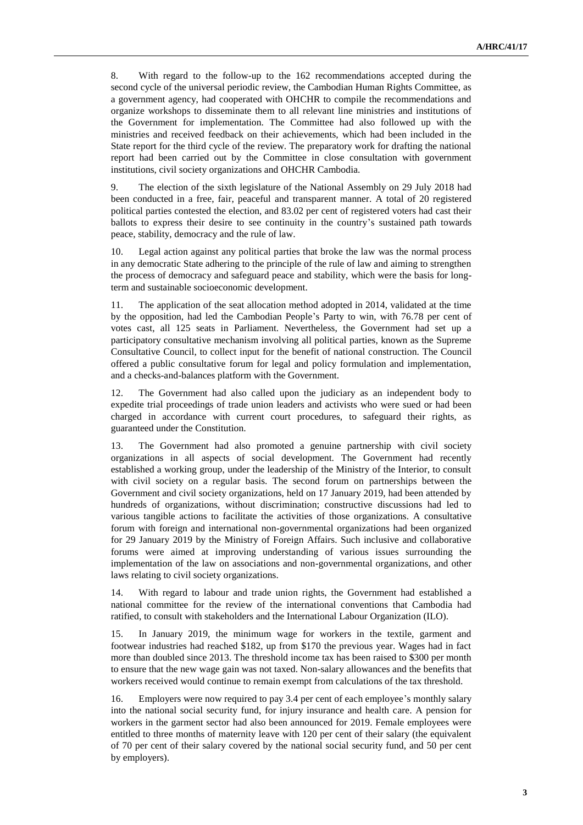8. With regard to the follow-up to the 162 recommendations accepted during the second cycle of the universal periodic review, the Cambodian Human Rights Committee, as a government agency, had cooperated with OHCHR to compile the recommendations and organize workshops to disseminate them to all relevant line ministries and institutions of the Government for implementation. The Committee had also followed up with the ministries and received feedback on their achievements, which had been included in the State report for the third cycle of the review. The preparatory work for drafting the national report had been carried out by the Committee in close consultation with government institutions, civil society organizations and OHCHR Cambodia.

9. The election of the sixth legislature of the National Assembly on 29 July 2018 had been conducted in a free, fair, peaceful and transparent manner. A total of 20 registered political parties contested the election, and 83.02 per cent of registered voters had cast their ballots to express their desire to see continuity in the country's sustained path towards peace, stability, democracy and the rule of law.

10. Legal action against any political parties that broke the law was the normal process in any democratic State adhering to the principle of the rule of law and aiming to strengthen the process of democracy and safeguard peace and stability, which were the basis for longterm and sustainable socioeconomic development.

11. The application of the seat allocation method adopted in 2014, validated at the time by the opposition, had led the Cambodian People's Party to win, with 76.78 per cent of votes cast, all 125 seats in Parliament. Nevertheless, the Government had set up a participatory consultative mechanism involving all political parties, known as the Supreme Consultative Council, to collect input for the benefit of national construction. The Council offered a public consultative forum for legal and policy formulation and implementation, and a checks-and-balances platform with the Government.

12. The Government had also called upon the judiciary as an independent body to expedite trial proceedings of trade union leaders and activists who were sued or had been charged in accordance with current court procedures, to safeguard their rights, as guaranteed under the Constitution.

13. The Government had also promoted a genuine partnership with civil society organizations in all aspects of social development. The Government had recently established a working group, under the leadership of the Ministry of the Interior, to consult with civil society on a regular basis. The second forum on partnerships between the Government and civil society organizations, held on 17 January 2019, had been attended by hundreds of organizations, without discrimination; constructive discussions had led to various tangible actions to facilitate the activities of those organizations. A consultative forum with foreign and international non-governmental organizations had been organized for 29 January 2019 by the Ministry of Foreign Affairs. Such inclusive and collaborative forums were aimed at improving understanding of various issues surrounding the implementation of the law on associations and non-governmental organizations, and other laws relating to civil society organizations.

14. With regard to labour and trade union rights, the Government had established a national committee for the review of the international conventions that Cambodia had ratified, to consult with stakeholders and the International Labour Organization (ILO).

15. In January 2019, the minimum wage for workers in the textile, garment and footwear industries had reached \$182, up from \$170 the previous year. Wages had in fact more than doubled since 2013. The threshold income tax has been raised to \$300 per month to ensure that the new wage gain was not taxed. Non-salary allowances and the benefits that workers received would continue to remain exempt from calculations of the tax threshold.

16. Employers were now required to pay 3.4 per cent of each employee's monthly salary into the national social security fund, for injury insurance and health care. A pension for workers in the garment sector had also been announced for 2019. Female employees were entitled to three months of maternity leave with 120 per cent of their salary (the equivalent of 70 per cent of their salary covered by the national social security fund, and 50 per cent by employers).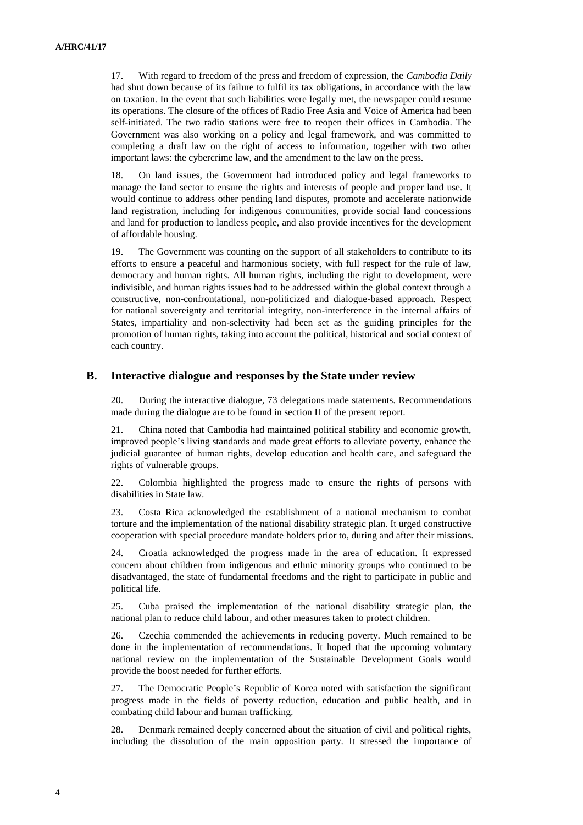17. With regard to freedom of the press and freedom of expression, the *Cambodia Daily* had shut down because of its failure to fulfil its tax obligations, in accordance with the law on taxation. In the event that such liabilities were legally met, the newspaper could resume its operations. The closure of the offices of Radio Free Asia and Voice of America had been self-initiated. The two radio stations were free to reopen their offices in Cambodia. The Government was also working on a policy and legal framework, and was committed to completing a draft law on the right of access to information, together with two other important laws: the cybercrime law, and the amendment to the law on the press.

18. On land issues, the Government had introduced policy and legal frameworks to manage the land sector to ensure the rights and interests of people and proper land use. It would continue to address other pending land disputes, promote and accelerate nationwide land registration, including for indigenous communities, provide social land concessions and land for production to landless people, and also provide incentives for the development of affordable housing.

19. The Government was counting on the support of all stakeholders to contribute to its efforts to ensure a peaceful and harmonious society, with full respect for the rule of law, democracy and human rights. All human rights, including the right to development, were indivisible, and human rights issues had to be addressed within the global context through a constructive, non-confrontational, non-politicized and dialogue-based approach. Respect for national sovereignty and territorial integrity, non-interference in the internal affairs of States, impartiality and non-selectivity had been set as the guiding principles for the promotion of human rights, taking into account the political, historical and social context of each country.

#### **B. Interactive dialogue and responses by the State under review**

20. During the interactive dialogue, 73 delegations made statements. Recommendations made during the dialogue are to be found in section II of the present report.

21. China noted that Cambodia had maintained political stability and economic growth, improved people's living standards and made great efforts to alleviate poverty, enhance the judicial guarantee of human rights, develop education and health care, and safeguard the rights of vulnerable groups.

22. Colombia highlighted the progress made to ensure the rights of persons with disabilities in State law.

23. Costa Rica acknowledged the establishment of a national mechanism to combat torture and the implementation of the national disability strategic plan. It urged constructive cooperation with special procedure mandate holders prior to, during and after their missions.

24. Croatia acknowledged the progress made in the area of education. It expressed concern about children from indigenous and ethnic minority groups who continued to be disadvantaged, the state of fundamental freedoms and the right to participate in public and political life.

25. Cuba praised the implementation of the national disability strategic plan, the national plan to reduce child labour, and other measures taken to protect children.

26. Czechia commended the achievements in reducing poverty. Much remained to be done in the implementation of recommendations. It hoped that the upcoming voluntary national review on the implementation of the Sustainable Development Goals would provide the boost needed for further efforts.

27. The Democratic People's Republic of Korea noted with satisfaction the significant progress made in the fields of poverty reduction, education and public health, and in combating child labour and human trafficking.

28. Denmark remained deeply concerned about the situation of civil and political rights, including the dissolution of the main opposition party. It stressed the importance of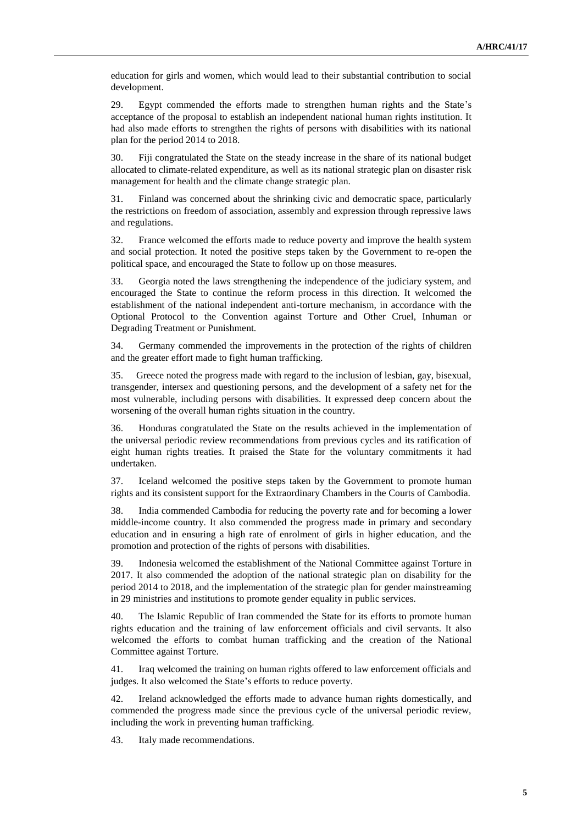education for girls and women, which would lead to their substantial contribution to social development.

29. Egypt commended the efforts made to strengthen human rights and the State's acceptance of the proposal to establish an independent national human rights institution. It had also made efforts to strengthen the rights of persons with disabilities with its national plan for the period 2014 to 2018.

30. Fiji congratulated the State on the steady increase in the share of its national budget allocated to climate-related expenditure, as well as its national strategic plan on disaster risk management for health and the climate change strategic plan.

31. Finland was concerned about the shrinking civic and democratic space, particularly the restrictions on freedom of association, assembly and expression through repressive laws and regulations.

32. France welcomed the efforts made to reduce poverty and improve the health system and social protection. It noted the positive steps taken by the Government to re-open the political space, and encouraged the State to follow up on those measures.

33. Georgia noted the laws strengthening the independence of the judiciary system, and encouraged the State to continue the reform process in this direction. It welcomed the establishment of the national independent anti-torture mechanism, in accordance with the Optional Protocol to the Convention against Torture and Other Cruel, Inhuman or Degrading Treatment or Punishment.

34. Germany commended the improvements in the protection of the rights of children and the greater effort made to fight human trafficking.

35. Greece noted the progress made with regard to the inclusion of lesbian, gay, bisexual, transgender, intersex and questioning persons, and the development of a safety net for the most vulnerable, including persons with disabilities. It expressed deep concern about the worsening of the overall human rights situation in the country.

36. Honduras congratulated the State on the results achieved in the implementation of the universal periodic review recommendations from previous cycles and its ratification of eight human rights treaties. It praised the State for the voluntary commitments it had undertaken.

37. Iceland welcomed the positive steps taken by the Government to promote human rights and its consistent support for the Extraordinary Chambers in the Courts of Cambodia.

38. India commended Cambodia for reducing the poverty rate and for becoming a lower middle-income country. It also commended the progress made in primary and secondary education and in ensuring a high rate of enrolment of girls in higher education, and the promotion and protection of the rights of persons with disabilities.

39. Indonesia welcomed the establishment of the National Committee against Torture in 2017. It also commended the adoption of the national strategic plan on disability for the period 2014 to 2018, and the implementation of the strategic plan for gender mainstreaming in 29 ministries and institutions to promote gender equality in public services.

40. The Islamic Republic of Iran commended the State for its efforts to promote human rights education and the training of law enforcement officials and civil servants. It also welcomed the efforts to combat human trafficking and the creation of the National Committee against Torture.

41. Iraq welcomed the training on human rights offered to law enforcement officials and judges. It also welcomed the State's efforts to reduce poverty.

42. Ireland acknowledged the efforts made to advance human rights domestically, and commended the progress made since the previous cycle of the universal periodic review, including the work in preventing human trafficking.

43. Italy made recommendations.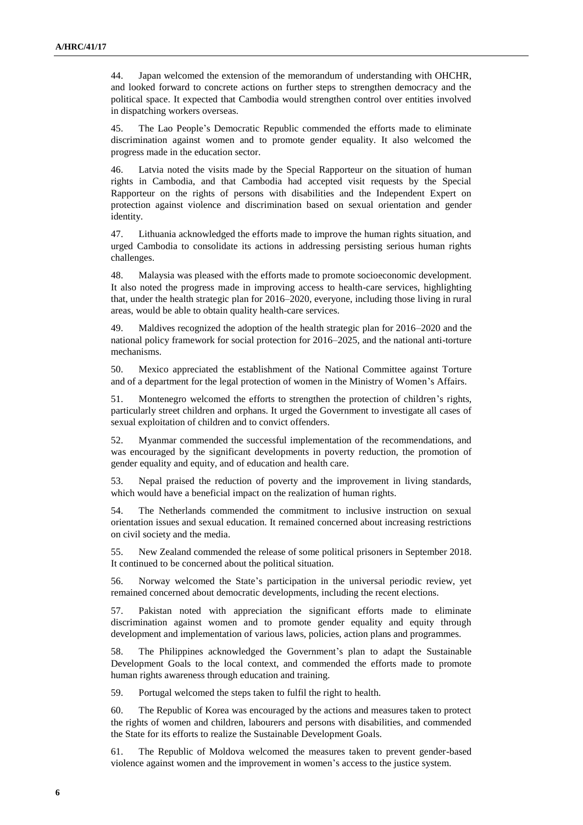44. Japan welcomed the extension of the memorandum of understanding with OHCHR, and looked forward to concrete actions on further steps to strengthen democracy and the political space. It expected that Cambodia would strengthen control over entities involved in dispatching workers overseas.

45. The Lao People's Democratic Republic commended the efforts made to eliminate discrimination against women and to promote gender equality. It also welcomed the progress made in the education sector.

46. Latvia noted the visits made by the Special Rapporteur on the situation of human rights in Cambodia, and that Cambodia had accepted visit requests by the Special Rapporteur on the rights of persons with disabilities and the Independent Expert on protection against violence and discrimination based on sexual orientation and gender identity.

47. Lithuania acknowledged the efforts made to improve the human rights situation, and urged Cambodia to consolidate its actions in addressing persisting serious human rights challenges.

48. Malaysia was pleased with the efforts made to promote socioeconomic development. It also noted the progress made in improving access to health-care services, highlighting that, under the health strategic plan for 2016–2020, everyone, including those living in rural areas, would be able to obtain quality health-care services.

49. Maldives recognized the adoption of the health strategic plan for 2016–2020 and the national policy framework for social protection for 2016–2025, and the national anti-torture mechanisms.

50. Mexico appreciated the establishment of the National Committee against Torture and of a department for the legal protection of women in the Ministry of Women's Affairs.

51. Montenegro welcomed the efforts to strengthen the protection of children's rights, particularly street children and orphans. It urged the Government to investigate all cases of sexual exploitation of children and to convict offenders.

52. Myanmar commended the successful implementation of the recommendations, and was encouraged by the significant developments in poverty reduction, the promotion of gender equality and equity, and of education and health care.

53. Nepal praised the reduction of poverty and the improvement in living standards, which would have a beneficial impact on the realization of human rights.

54. The Netherlands commended the commitment to inclusive instruction on sexual orientation issues and sexual education. It remained concerned about increasing restrictions on civil society and the media.

55. New Zealand commended the release of some political prisoners in September 2018. It continued to be concerned about the political situation.

56. Norway welcomed the State's participation in the universal periodic review, yet remained concerned about democratic developments, including the recent elections.

57. Pakistan noted with appreciation the significant efforts made to eliminate discrimination against women and to promote gender equality and equity through development and implementation of various laws, policies, action plans and programmes.

58. The Philippines acknowledged the Government's plan to adapt the Sustainable Development Goals to the local context, and commended the efforts made to promote human rights awareness through education and training.

59. Portugal welcomed the steps taken to fulfil the right to health.

60. The Republic of Korea was encouraged by the actions and measures taken to protect the rights of women and children, labourers and persons with disabilities, and commended the State for its efforts to realize the Sustainable Development Goals.

61. The Republic of Moldova welcomed the measures taken to prevent gender-based violence against women and the improvement in women's access to the justice system.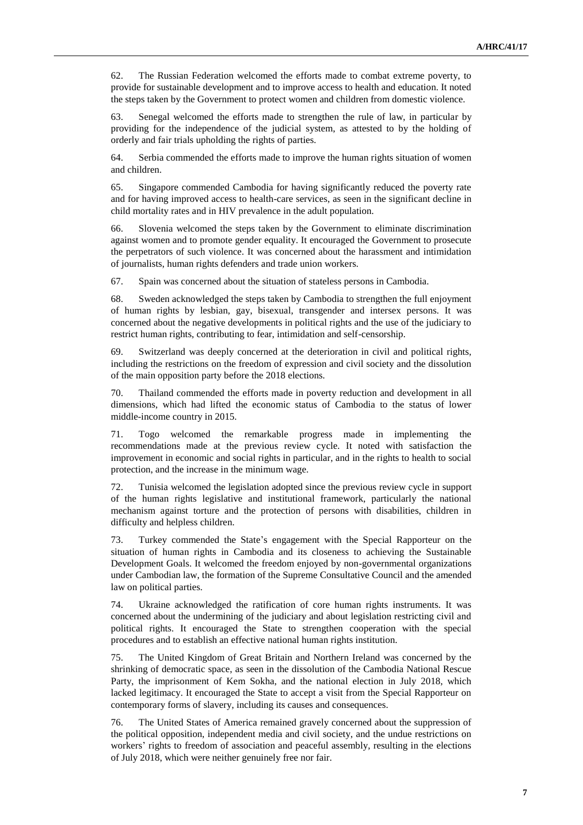62. The Russian Federation welcomed the efforts made to combat extreme poverty, to provide for sustainable development and to improve access to health and education. It noted the steps taken by the Government to protect women and children from domestic violence.

63. Senegal welcomed the efforts made to strengthen the rule of law, in particular by providing for the independence of the judicial system, as attested to by the holding of orderly and fair trials upholding the rights of parties.

64. Serbia commended the efforts made to improve the human rights situation of women and children.

65. Singapore commended Cambodia for having significantly reduced the poverty rate and for having improved access to health-care services, as seen in the significant decline in child mortality rates and in HIV prevalence in the adult population.

66. Slovenia welcomed the steps taken by the Government to eliminate discrimination against women and to promote gender equality. It encouraged the Government to prosecute the perpetrators of such violence. It was concerned about the harassment and intimidation of journalists, human rights defenders and trade union workers.

67. Spain was concerned about the situation of stateless persons in Cambodia.

68. Sweden acknowledged the steps taken by Cambodia to strengthen the full enjoyment of human rights by lesbian, gay, bisexual, transgender and intersex persons. It was concerned about the negative developments in political rights and the use of the judiciary to restrict human rights, contributing to fear, intimidation and self-censorship.

69. Switzerland was deeply concerned at the deterioration in civil and political rights, including the restrictions on the freedom of expression and civil society and the dissolution of the main opposition party before the 2018 elections.

70. Thailand commended the efforts made in poverty reduction and development in all dimensions, which had lifted the economic status of Cambodia to the status of lower middle-income country in 2015.

71. Togo welcomed the remarkable progress made in implementing the recommendations made at the previous review cycle. It noted with satisfaction the improvement in economic and social rights in particular, and in the rights to health to social protection, and the increase in the minimum wage.

72. Tunisia welcomed the legislation adopted since the previous review cycle in support of the human rights legislative and institutional framework, particularly the national mechanism against torture and the protection of persons with disabilities, children in difficulty and helpless children.

73. Turkey commended the State's engagement with the Special Rapporteur on the situation of human rights in Cambodia and its closeness to achieving the Sustainable Development Goals. It welcomed the freedom enjoyed by non-governmental organizations under Cambodian law, the formation of the Supreme Consultative Council and the amended law on political parties.

74. Ukraine acknowledged the ratification of core human rights instruments. It was concerned about the undermining of the judiciary and about legislation restricting civil and political rights. It encouraged the State to strengthen cooperation with the special procedures and to establish an effective national human rights institution.

75. The United Kingdom of Great Britain and Northern Ireland was concerned by the shrinking of democratic space, as seen in the dissolution of the Cambodia National Rescue Party, the imprisonment of Kem Sokha, and the national election in July 2018, which lacked legitimacy. It encouraged the State to accept a visit from the Special Rapporteur on contemporary forms of slavery, including its causes and consequences.

76. The United States of America remained gravely concerned about the suppression of the political opposition, independent media and civil society, and the undue restrictions on workers' rights to freedom of association and peaceful assembly, resulting in the elections of July 2018, which were neither genuinely free nor fair.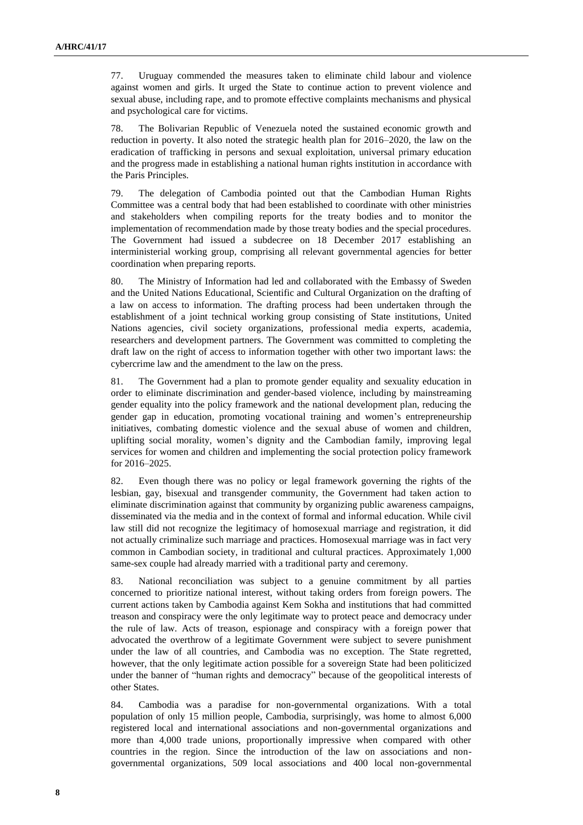77. Uruguay commended the measures taken to eliminate child labour and violence against women and girls. It urged the State to continue action to prevent violence and sexual abuse, including rape, and to promote effective complaints mechanisms and physical and psychological care for victims.

78. The Bolivarian Republic of Venezuela noted the sustained economic growth and reduction in poverty. It also noted the strategic health plan for 2016–2020, the law on the eradication of trafficking in persons and sexual exploitation, universal primary education and the progress made in establishing a national human rights institution in accordance with the Paris Principles.

79. The delegation of Cambodia pointed out that the Cambodian Human Rights Committee was a central body that had been established to coordinate with other ministries and stakeholders when compiling reports for the treaty bodies and to monitor the implementation of recommendation made by those treaty bodies and the special procedures. The Government had issued a subdecree on 18 December 2017 establishing an interministerial working group, comprising all relevant governmental agencies for better coordination when preparing reports.

80. The Ministry of Information had led and collaborated with the Embassy of Sweden and the United Nations Educational, Scientific and Cultural Organization on the drafting of a law on access to information. The drafting process had been undertaken through the establishment of a joint technical working group consisting of State institutions, United Nations agencies, civil society organizations, professional media experts, academia, researchers and development partners. The Government was committed to completing the draft law on the right of access to information together with other two important laws: the cybercrime law and the amendment to the law on the press.

81. The Government had a plan to promote gender equality and sexuality education in order to eliminate discrimination and gender-based violence, including by mainstreaming gender equality into the policy framework and the national development plan, reducing the gender gap in education, promoting vocational training and women's entrepreneurship initiatives, combating domestic violence and the sexual abuse of women and children, uplifting social morality, women's dignity and the Cambodian family, improving legal services for women and children and implementing the social protection policy framework for 2016–2025.

82. Even though there was no policy or legal framework governing the rights of the lesbian, gay, bisexual and transgender community, the Government had taken action to eliminate discrimination against that community by organizing public awareness campaigns, disseminated via the media and in the context of formal and informal education. While civil law still did not recognize the legitimacy of homosexual marriage and registration, it did not actually criminalize such marriage and practices. Homosexual marriage was in fact very common in Cambodian society, in traditional and cultural practices. Approximately 1,000 same-sex couple had already married with a traditional party and ceremony.

83. National reconciliation was subject to a genuine commitment by all parties concerned to prioritize national interest, without taking orders from foreign powers. The current actions taken by Cambodia against Kem Sokha and institutions that had committed treason and conspiracy were the only legitimate way to protect peace and democracy under the rule of law. Acts of treason, espionage and conspiracy with a foreign power that advocated the overthrow of a legitimate Government were subject to severe punishment under the law of all countries, and Cambodia was no exception. The State regretted, however, that the only legitimate action possible for a sovereign State had been politicized under the banner of "human rights and democracy" because of the geopolitical interests of other States.

84. Cambodia was a paradise for non-governmental organizations. With a total population of only 15 million people, Cambodia, surprisingly, was home to almost 6,000 registered local and international associations and non-governmental organizations and more than 4,000 trade unions, proportionally impressive when compared with other countries in the region. Since the introduction of the law on associations and nongovernmental organizations, 509 local associations and 400 local non-governmental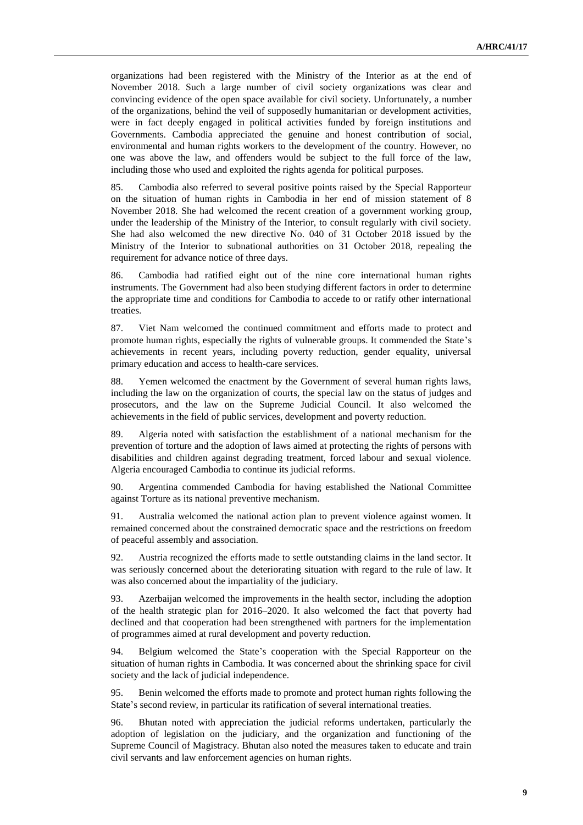organizations had been registered with the Ministry of the Interior as at the end of November 2018. Such a large number of civil society organizations was clear and convincing evidence of the open space available for civil society. Unfortunately, a number of the organizations, behind the veil of supposedly humanitarian or development activities, were in fact deeply engaged in political activities funded by foreign institutions and Governments. Cambodia appreciated the genuine and honest contribution of social, environmental and human rights workers to the development of the country. However, no one was above the law, and offenders would be subject to the full force of the law, including those who used and exploited the rights agenda for political purposes.

85. Cambodia also referred to several positive points raised by the Special Rapporteur on the situation of human rights in Cambodia in her end of mission statement of 8 November 2018. She had welcomed the recent creation of a government working group, under the leadership of the Ministry of the Interior, to consult regularly with civil society. She had also welcomed the new directive No. 040 of 31 October 2018 issued by the Ministry of the Interior to subnational authorities on 31 October 2018, repealing the requirement for advance notice of three days.

86. Cambodia had ratified eight out of the nine core international human rights instruments. The Government had also been studying different factors in order to determine the appropriate time and conditions for Cambodia to accede to or ratify other international treaties.

87. Viet Nam welcomed the continued commitment and efforts made to protect and promote human rights, especially the rights of vulnerable groups. It commended the State's achievements in recent years, including poverty reduction, gender equality, universal primary education and access to health-care services.

88. Yemen welcomed the enactment by the Government of several human rights laws, including the law on the organization of courts, the special law on the status of judges and prosecutors, and the law on the Supreme Judicial Council. It also welcomed the achievements in the field of public services, development and poverty reduction.

89. Algeria noted with satisfaction the establishment of a national mechanism for the prevention of torture and the adoption of laws aimed at protecting the rights of persons with disabilities and children against degrading treatment, forced labour and sexual violence. Algeria encouraged Cambodia to continue its judicial reforms.

90. Argentina commended Cambodia for having established the National Committee against Torture as its national preventive mechanism.

91. Australia welcomed the national action plan to prevent violence against women. It remained concerned about the constrained democratic space and the restrictions on freedom of peaceful assembly and association.

92. Austria recognized the efforts made to settle outstanding claims in the land sector. It was seriously concerned about the deteriorating situation with regard to the rule of law. It was also concerned about the impartiality of the judiciary.

93. Azerbaijan welcomed the improvements in the health sector, including the adoption of the health strategic plan for 2016–2020. It also welcomed the fact that poverty had declined and that cooperation had been strengthened with partners for the implementation of programmes aimed at rural development and poverty reduction.

94. Belgium welcomed the State's cooperation with the Special Rapporteur on the situation of human rights in Cambodia. It was concerned about the shrinking space for civil society and the lack of judicial independence.

95. Benin welcomed the efforts made to promote and protect human rights following the State's second review, in particular its ratification of several international treaties.

96. Bhutan noted with appreciation the judicial reforms undertaken, particularly the adoption of legislation on the judiciary, and the organization and functioning of the Supreme Council of Magistracy. Bhutan also noted the measures taken to educate and train civil servants and law enforcement agencies on human rights.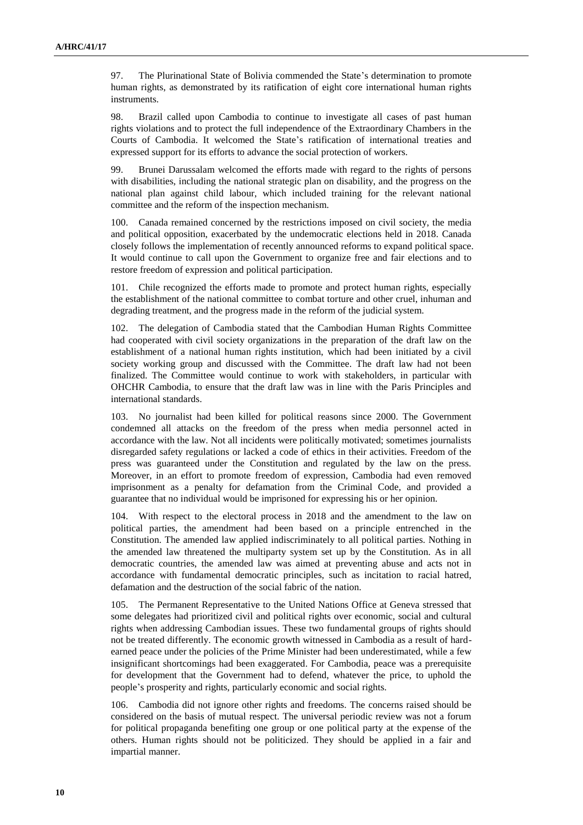97. The Plurinational State of Bolivia commended the State's determination to promote human rights, as demonstrated by its ratification of eight core international human rights instruments.

98. Brazil called upon Cambodia to continue to investigate all cases of past human rights violations and to protect the full independence of the Extraordinary Chambers in the Courts of Cambodia. It welcomed the State's ratification of international treaties and expressed support for its efforts to advance the social protection of workers.

99. Brunei Darussalam welcomed the efforts made with regard to the rights of persons with disabilities, including the national strategic plan on disability, and the progress on the national plan against child labour, which included training for the relevant national committee and the reform of the inspection mechanism.

100. Canada remained concerned by the restrictions imposed on civil society, the media and political opposition, exacerbated by the undemocratic elections held in 2018. Canada closely follows the implementation of recently announced reforms to expand political space. It would continue to call upon the Government to organize free and fair elections and to restore freedom of expression and political participation.

101. Chile recognized the efforts made to promote and protect human rights, especially the establishment of the national committee to combat torture and other cruel, inhuman and degrading treatment, and the progress made in the reform of the judicial system.

102. The delegation of Cambodia stated that the Cambodian Human Rights Committee had cooperated with civil society organizations in the preparation of the draft law on the establishment of a national human rights institution, which had been initiated by a civil society working group and discussed with the Committee. The draft law had not been finalized. The Committee would continue to work with stakeholders, in particular with OHCHR Cambodia, to ensure that the draft law was in line with the Paris Principles and international standards.

103. No journalist had been killed for political reasons since 2000. The Government condemned all attacks on the freedom of the press when media personnel acted in accordance with the law. Not all incidents were politically motivated; sometimes journalists disregarded safety regulations or lacked a code of ethics in their activities. Freedom of the press was guaranteed under the Constitution and regulated by the law on the press. Moreover, in an effort to promote freedom of expression, Cambodia had even removed imprisonment as a penalty for defamation from the Criminal Code, and provided a guarantee that no individual would be imprisoned for expressing his or her opinion.

With respect to the electoral process in 2018 and the amendment to the law on political parties, the amendment had been based on a principle entrenched in the Constitution. The amended law applied indiscriminately to all political parties. Nothing in the amended law threatened the multiparty system set up by the Constitution. As in all democratic countries, the amended law was aimed at preventing abuse and acts not in accordance with fundamental democratic principles, such as incitation to racial hatred, defamation and the destruction of the social fabric of the nation.

The Permanent Representative to the United Nations Office at Geneva stressed that some delegates had prioritized civil and political rights over economic, social and cultural rights when addressing Cambodian issues. These two fundamental groups of rights should not be treated differently. The economic growth witnessed in Cambodia as a result of hardearned peace under the policies of the Prime Minister had been underestimated, while a few insignificant shortcomings had been exaggerated. For Cambodia, peace was a prerequisite for development that the Government had to defend, whatever the price, to uphold the people's prosperity and rights, particularly economic and social rights.

106. Cambodia did not ignore other rights and freedoms. The concerns raised should be considered on the basis of mutual respect. The universal periodic review was not a forum for political propaganda benefiting one group or one political party at the expense of the others. Human rights should not be politicized. They should be applied in a fair and impartial manner.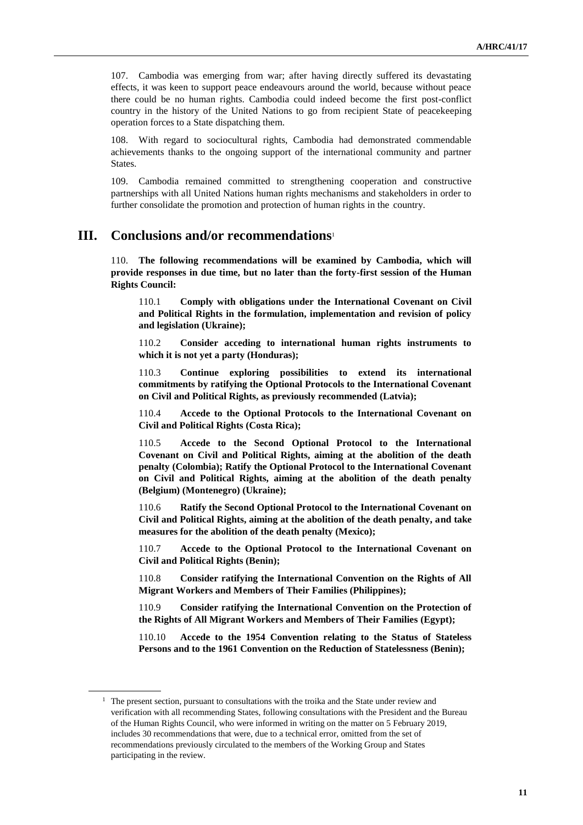107. Cambodia was emerging from war; after having directly suffered its devastating effects, it was keen to support peace endeavours around the world, because without peace there could be no human rights. Cambodia could indeed become the first post-conflict country in the history of the United Nations to go from recipient State of peacekeeping operation forces to a State dispatching them.

108. With regard to sociocultural rights, Cambodia had demonstrated commendable achievements thanks to the ongoing support of the international community and partner States.

109. Cambodia remained committed to strengthening cooperation and constructive partnerships with all United Nations human rights mechanisms and stakeholders in order to further consolidate the promotion and protection of human rights in the country.

## **III. Conclusions and/or recommendations**<sup>1</sup>

110. **The following recommendations will be examined by Cambodia, which will provide responses in due time, but no later than the forty-first session of the Human Rights Council:**

110.1 **Comply with obligations under the International Covenant on Civil and Political Rights in the formulation, implementation and revision of policy and legislation (Ukraine);**

110.2 **Consider acceding to international human rights instruments to which it is not yet a party (Honduras);**

110.3 **Continue exploring possibilities to extend its international commitments by ratifying the Optional Protocols to the International Covenant on Civil and Political Rights, as previously recommended (Latvia);**

110.4 **Accede to the Optional Protocols to the International Covenant on Civil and Political Rights (Costa Rica);**

110.5 **Accede to the Second Optional Protocol to the International Covenant on Civil and Political Rights, aiming at the abolition of the death penalty (Colombia); Ratify the Optional Protocol to the International Covenant on Civil and Political Rights, aiming at the abolition of the death penalty (Belgium) (Montenegro) (Ukraine);**

110.6 **Ratify the Second Optional Protocol to the International Covenant on Civil and Political Rights, aiming at the abolition of the death penalty, and take measures for the abolition of the death penalty (Mexico);**

110.7 **Accede to the Optional Protocol to the International Covenant on Civil and Political Rights (Benin);**

110.8 **Consider ratifying the International Convention on the Rights of All Migrant Workers and Members of Their Families (Philippines);**

110.9 **Consider ratifying the International Convention on the Protection of the Rights of All Migrant Workers and Members of Their Families (Egypt);**

110.10 **Accede to the 1954 Convention relating to the Status of Stateless Persons and to the 1961 Convention on the Reduction of Statelessness (Benin);**

 $<sup>1</sup>$  The present section, pursuant to consultations with the troika and the State under review and</sup> verification with all recommending States, following consultations with the President and the Bureau of the Human Rights Council, who were informed in writing on the matter on 5 February 2019, includes 30 recommendations that were, due to a technical error, omitted from the set of recommendations previously circulated to the members of the Working Group and States participating in the review.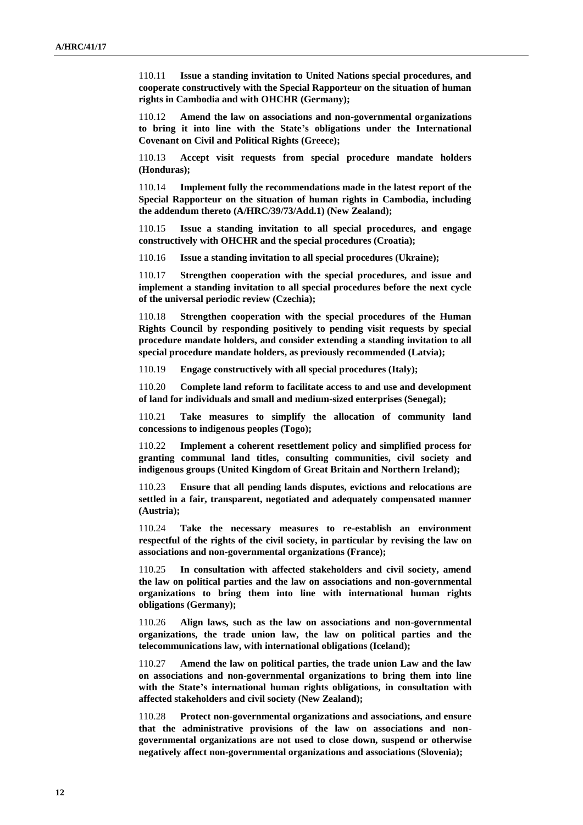110.11 **Issue a standing invitation to United Nations special procedures, and cooperate constructively with the Special Rapporteur on the situation of human rights in Cambodia and with OHCHR (Germany);**

110.12 **Amend the law on associations and non-governmental organizations to bring it into line with the State's obligations under the International Covenant on Civil and Political Rights (Greece);**

110.13 **Accept visit requests from special procedure mandate holders (Honduras);**

110.14 **Implement fully the recommendations made in the latest report of the Special Rapporteur on the situation of human rights in Cambodia, including the addendum thereto (A/HRC/39/73/Add.1) (New Zealand);**

110.15 **Issue a standing invitation to all special procedures, and engage constructively with OHCHR and the special procedures (Croatia);**

110.16 **Issue a standing invitation to all special procedures (Ukraine);**

110.17 **Strengthen cooperation with the special procedures, and issue and implement a standing invitation to all special procedures before the next cycle of the universal periodic review (Czechia);**

110.18 **Strengthen cooperation with the special procedures of the Human Rights Council by responding positively to pending visit requests by special procedure mandate holders, and consider extending a standing invitation to all special procedure mandate holders, as previously recommended (Latvia);**

110.19 **Engage constructively with all special procedures (Italy);**

110.20 **Complete land reform to facilitate access to and use and development of land for individuals and small and medium-sized enterprises (Senegal);**

110.21 **Take measures to simplify the allocation of community land concessions to indigenous peoples (Togo);**

110.22 **Implement a coherent resettlement policy and simplified process for granting communal land titles, consulting communities, civil society and indigenous groups (United Kingdom of Great Britain and Northern Ireland);**

110.23 **Ensure that all pending lands disputes, evictions and relocations are settled in a fair, transparent, negotiated and adequately compensated manner (Austria);**

110.24 **Take the necessary measures to re-establish an environment respectful of the rights of the civil society, in particular by revising the law on associations and non-governmental organizations (France);**

110.25 **In consultation with affected stakeholders and civil society, amend the law on political parties and the law on associations and non-governmental organizations to bring them into line with international human rights obligations (Germany);**

110.26 **Align laws, such as the law on associations and non-governmental organizations, the trade union law, the law on political parties and the telecommunications law, with international obligations (Iceland);**

110.27 **Amend the law on political parties, the trade union Law and the law on associations and non-governmental organizations to bring them into line with the State's international human rights obligations, in consultation with affected stakeholders and civil society (New Zealand);**

110.28 **Protect non-governmental organizations and associations, and ensure that the administrative provisions of the law on associations and nongovernmental organizations are not used to close down, suspend or otherwise negatively affect non-governmental organizations and associations (Slovenia);**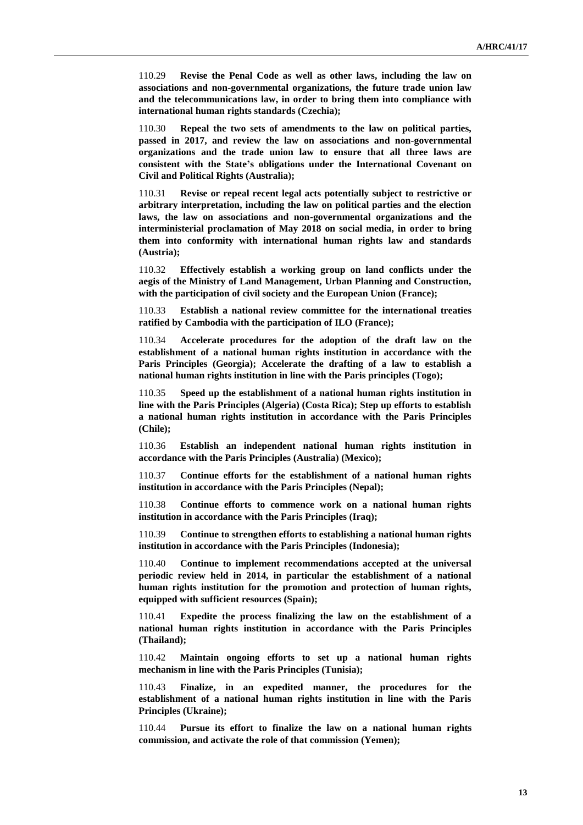110.29 **Revise the Penal Code as well as other laws, including the law on associations and non-governmental organizations, the future trade union law and the telecommunications law, in order to bring them into compliance with international human rights standards (Czechia);**

110.30 **Repeal the two sets of amendments to the law on political parties, passed in 2017, and review the law on associations and non-governmental organizations and the trade union law to ensure that all three laws are consistent with the State's obligations under the International Covenant on Civil and Political Rights (Australia);**

110.31 **Revise or repeal recent legal acts potentially subject to restrictive or arbitrary interpretation, including the law on political parties and the election laws, the law on associations and non-governmental organizations and the interministerial proclamation of May 2018 on social media, in order to bring them into conformity with international human rights law and standards (Austria);**

110.32 **Effectively establish a working group on land conflicts under the aegis of the Ministry of Land Management, Urban Planning and Construction, with the participation of civil society and the European Union (France);**

110.33 **Establish a national review committee for the international treaties ratified by Cambodia with the participation of ILO (France);**

110.34 **Accelerate procedures for the adoption of the draft law on the establishment of a national human rights institution in accordance with the Paris Principles (Georgia); Accelerate the drafting of a law to establish a national human rights institution in line with the Paris principles (Togo);**

110.35 **Speed up the establishment of a national human rights institution in line with the Paris Principles (Algeria) (Costa Rica); Step up efforts to establish a national human rights institution in accordance with the Paris Principles (Chile);**

110.36 **Establish an independent national human rights institution in accordance with the Paris Principles (Australia) (Mexico);**

110.37 **Continue efforts for the establishment of a national human rights institution in accordance with the Paris Principles (Nepal);**

110.38 **Continue efforts to commence work on a national human rights institution in accordance with the Paris Principles (Iraq);**

110.39 **Continue to strengthen efforts to establishing a national human rights institution in accordance with the Paris Principles (Indonesia);**

110.40 **Continue to implement recommendations accepted at the universal periodic review held in 2014, in particular the establishment of a national human rights institution for the promotion and protection of human rights, equipped with sufficient resources (Spain);**

110.41 **Expedite the process finalizing the law on the establishment of a national human rights institution in accordance with the Paris Principles (Thailand);**

110.42 **Maintain ongoing efforts to set up a national human rights mechanism in line with the Paris Principles (Tunisia);**

110.43 **Finalize, in an expedited manner, the procedures for the establishment of a national human rights institution in line with the Paris Principles (Ukraine);**

110.44 **Pursue its effort to finalize the law on a national human rights commission, and activate the role of that commission (Yemen);**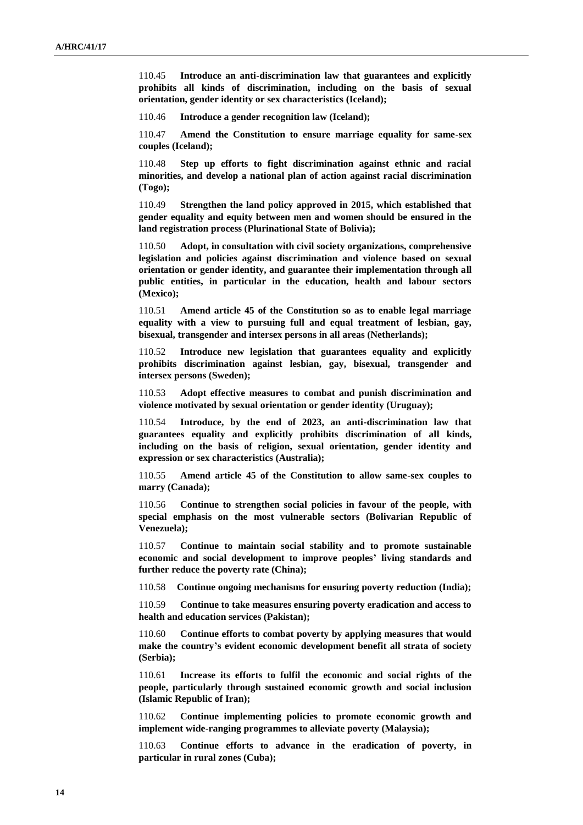110.45 **Introduce an anti-discrimination law that guarantees and explicitly prohibits all kinds of discrimination, including on the basis of sexual orientation, gender identity or sex characteristics (Iceland);**

110.46 **Introduce a gender recognition law (Iceland);**

110.47 **Amend the Constitution to ensure marriage equality for same-sex couples (Iceland);**

110.48 **Step up efforts to fight discrimination against ethnic and racial minorities, and develop a national plan of action against racial discrimination (Togo);**

110.49 **Strengthen the land policy approved in 2015, which established that gender equality and equity between men and women should be ensured in the land registration process (Plurinational State of Bolivia);**

110.50 **Adopt, in consultation with civil society organizations, comprehensive legislation and policies against discrimination and violence based on sexual orientation or gender identity, and guarantee their implementation through all public entities, in particular in the education, health and labour sectors (Mexico);**

110.51 **Amend article 45 of the Constitution so as to enable legal marriage equality with a view to pursuing full and equal treatment of lesbian, gay, bisexual, transgender and intersex persons in all areas (Netherlands);**

Introduce new legislation that guarantees equality and explicitly **prohibits discrimination against lesbian, gay, bisexual, transgender and intersex persons (Sweden);**

110.53 **Adopt effective measures to combat and punish discrimination and violence motivated by sexual orientation or gender identity (Uruguay);**

110.54 **Introduce, by the end of 2023, an anti-discrimination law that guarantees equality and explicitly prohibits discrimination of all kinds, including on the basis of religion, sexual orientation, gender identity and expression or sex characteristics (Australia);**

110.55 **Amend article 45 of the Constitution to allow same-sex couples to marry (Canada);**

110.56 **Continue to strengthen social policies in favour of the people, with special emphasis on the most vulnerable sectors (Bolivarian Republic of Venezuela);**

110.57 **Continue to maintain social stability and to promote sustainable economic and social development to improve peoples' living standards and further reduce the poverty rate (China);**

110.58 **Continue ongoing mechanisms for ensuring poverty reduction (India);**

110.59 **Continue to take measures ensuring poverty eradication and access to health and education services (Pakistan);**

110.60 **Continue efforts to combat poverty by applying measures that would make the country's evident economic development benefit all strata of society (Serbia);**

110.61 **Increase its efforts to fulfil the economic and social rights of the people, particularly through sustained economic growth and social inclusion (Islamic Republic of Iran);**

110.62 **Continue implementing policies to promote economic growth and implement wide-ranging programmes to alleviate poverty (Malaysia);**

110.63 **Continue efforts to advance in the eradication of poverty, in particular in rural zones (Cuba);**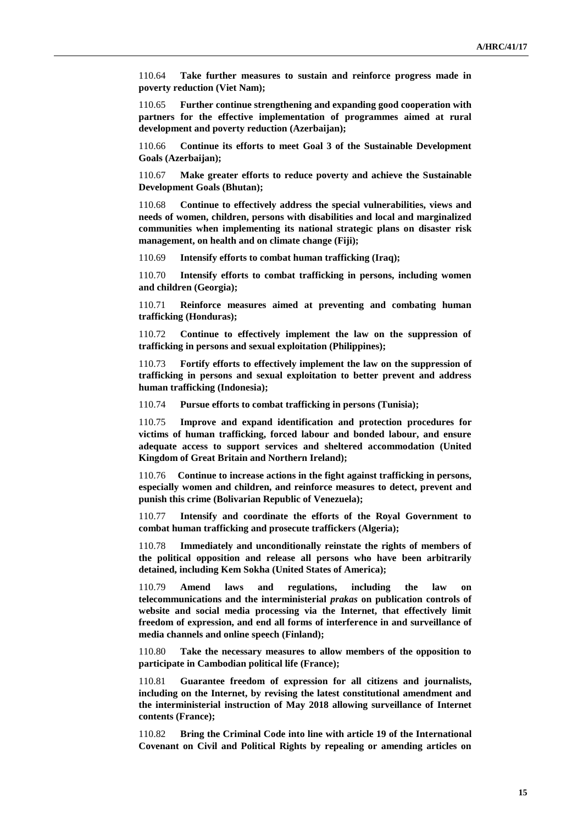110.64 **Take further measures to sustain and reinforce progress made in poverty reduction (Viet Nam);**

110.65 **Further continue strengthening and expanding good cooperation with partners for the effective implementation of programmes aimed at rural development and poverty reduction (Azerbaijan);**

110.66 **Continue its efforts to meet Goal 3 of the Sustainable Development Goals (Azerbaijan);**

110.67 **Make greater efforts to reduce poverty and achieve the Sustainable Development Goals (Bhutan);**

110.68 **Continue to effectively address the special vulnerabilities, views and needs of women, children, persons with disabilities and local and marginalized communities when implementing its national strategic plans on disaster risk management, on health and on climate change (Fiji);**

110.69 **Intensify efforts to combat human trafficking (Iraq);**

110.70 **Intensify efforts to combat trafficking in persons, including women and children (Georgia);**

110.71 **Reinforce measures aimed at preventing and combating human trafficking (Honduras);**

110.72 **Continue to effectively implement the law on the suppression of trafficking in persons and sexual exploitation (Philippines);**

110.73 **Fortify efforts to effectively implement the law on the suppression of trafficking in persons and sexual exploitation to better prevent and address human trafficking (Indonesia);**

110.74 **Pursue efforts to combat trafficking in persons (Tunisia);**

110.75 **Improve and expand identification and protection procedures for victims of human trafficking, forced labour and bonded labour, and ensure adequate access to support services and sheltered accommodation (United Kingdom of Great Britain and Northern Ireland);**

110.76 **Continue to increase actions in the fight against trafficking in persons, especially women and children, and reinforce measures to detect, prevent and punish this crime (Bolivarian Republic of Venezuela);**

110.77 **Intensify and coordinate the efforts of the Royal Government to combat human trafficking and prosecute traffickers (Algeria);**

110.78 **Immediately and unconditionally reinstate the rights of members of the political opposition and release all persons who have been arbitrarily detained, including Kem Sokha (United States of America);**

110.79 **Amend laws and regulations, including the law on telecommunications and the interministerial** *prakas* **on publication controls of website and social media processing via the Internet, that effectively limit freedom of expression, and end all forms of interference in and surveillance of media channels and online speech (Finland);**

110.80 **Take the necessary measures to allow members of the opposition to participate in Cambodian political life (France);**

110.81 **Guarantee freedom of expression for all citizens and journalists, including on the Internet, by revising the latest constitutional amendment and the interministerial instruction of May 2018 allowing surveillance of Internet contents (France);**

110.82 **Bring the Criminal Code into line with article 19 of the International Covenant on Civil and Political Rights by repealing or amending articles on**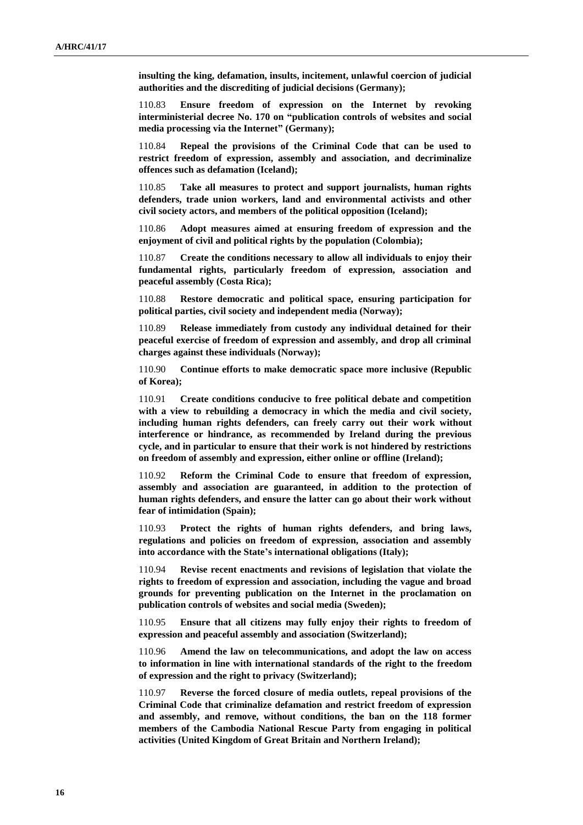**insulting the king, defamation, insults, incitement, unlawful coercion of judicial authorities and the discrediting of judicial decisions (Germany);**

110.83 **Ensure freedom of expression on the Internet by revoking interministerial decree No. 170 on "publication controls of websites and social media processing via the Internet" (Germany);**

110.84 **Repeal the provisions of the Criminal Code that can be used to restrict freedom of expression, assembly and association, and decriminalize offences such as defamation (Iceland);**

110.85 **Take all measures to protect and support journalists, human rights defenders, trade union workers, land and environmental activists and other civil society actors, and members of the political opposition (Iceland);**

110.86 **Adopt measures aimed at ensuring freedom of expression and the enjoyment of civil and political rights by the population (Colombia);**

110.87 **Create the conditions necessary to allow all individuals to enjoy their fundamental rights, particularly freedom of expression, association and peaceful assembly (Costa Rica);**

110.88 **Restore democratic and political space, ensuring participation for political parties, civil society and independent media (Norway);**

110.89 **Release immediately from custody any individual detained for their peaceful exercise of freedom of expression and assembly, and drop all criminal charges against these individuals (Norway);**

110.90 **Continue efforts to make democratic space more inclusive (Republic of Korea);**

110.91 **Create conditions conducive to free political debate and competition with a view to rebuilding a democracy in which the media and civil society, including human rights defenders, can freely carry out their work without interference or hindrance, as recommended by Ireland during the previous cycle, and in particular to ensure that their work is not hindered by restrictions on freedom of assembly and expression, either online or offline (Ireland);**

110.92 **Reform the Criminal Code to ensure that freedom of expression, assembly and association are guaranteed, in addition to the protection of human rights defenders, and ensure the latter can go about their work without fear of intimidation (Spain);**

110.93 **Protect the rights of human rights defenders, and bring laws, regulations and policies on freedom of expression, association and assembly into accordance with the State's international obligations (Italy);**

110.94 **Revise recent enactments and revisions of legislation that violate the rights to freedom of expression and association, including the vague and broad grounds for preventing publication on the Internet in the proclamation on publication controls of websites and social media (Sweden);**

110.95 **Ensure that all citizens may fully enjoy their rights to freedom of expression and peaceful assembly and association (Switzerland);**

110.96 **Amend the law on telecommunications, and adopt the law on access to information in line with international standards of the right to the freedom of expression and the right to privacy (Switzerland);**

110.97 **Reverse the forced closure of media outlets, repeal provisions of the Criminal Code that criminalize defamation and restrict freedom of expression and assembly, and remove, without conditions, the ban on the 118 former members of the Cambodia National Rescue Party from engaging in political activities (United Kingdom of Great Britain and Northern Ireland);**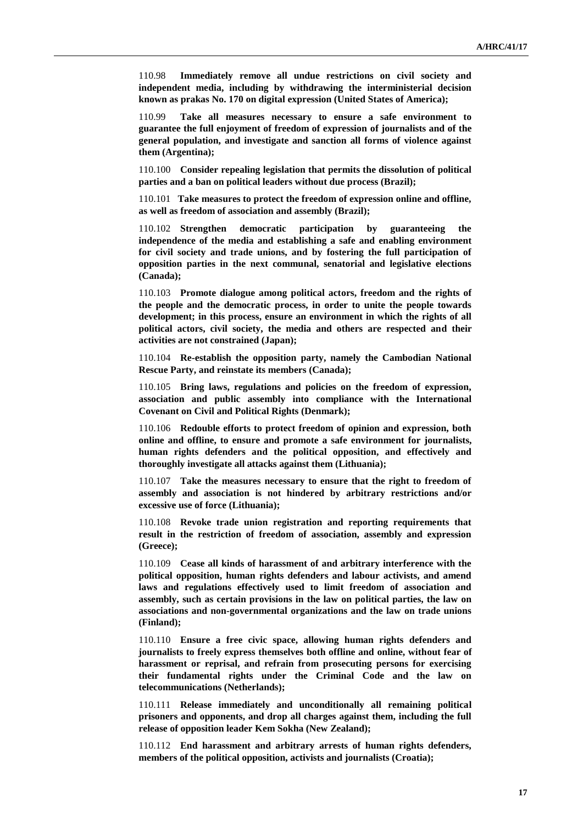110.98 **Immediately remove all undue restrictions on civil society and independent media, including by withdrawing the interministerial decision known as prakas No. 170 on digital expression (United States of America);**

110.99 **Take all measures necessary to ensure a safe environment to guarantee the full enjoyment of freedom of expression of journalists and of the general population, and investigate and sanction all forms of violence against them (Argentina);**

110.100 **Consider repealing legislation that permits the dissolution of political parties and a ban on political leaders without due process (Brazil);**

110.101 **Take measures to protect the freedom of expression online and offline, as well as freedom of association and assembly (Brazil);**

110.102 **Strengthen democratic participation by guaranteeing the independence of the media and establishing a safe and enabling environment for civil society and trade unions, and by fostering the full participation of opposition parties in the next communal, senatorial and legislative elections (Canada);**

110.103 **Promote dialogue among political actors, freedom and the rights of the people and the democratic process, in order to unite the people towards development; in this process, ensure an environment in which the rights of all political actors, civil society, the media and others are respected and their activities are not constrained (Japan);**

110.104 **Re-establish the opposition party, namely the Cambodian National Rescue Party, and reinstate its members (Canada);**

110.105 **Bring laws, regulations and policies on the freedom of expression, association and public assembly into compliance with the International Covenant on Civil and Political Rights (Denmark);**

110.106 **Redouble efforts to protect freedom of opinion and expression, both online and offline, to ensure and promote a safe environment for journalists, human rights defenders and the political opposition, and effectively and thoroughly investigate all attacks against them (Lithuania);**

110.107 **Take the measures necessary to ensure that the right to freedom of assembly and association is not hindered by arbitrary restrictions and/or excessive use of force (Lithuania);**

110.108 **Revoke trade union registration and reporting requirements that result in the restriction of freedom of association, assembly and expression (Greece);**

110.109 **Cease all kinds of harassment of and arbitrary interference with the political opposition, human rights defenders and labour activists, and amend laws and regulations effectively used to limit freedom of association and assembly, such as certain provisions in the law on political parties, the law on associations and non-governmental organizations and the law on trade unions (Finland);**

110.110 **Ensure a free civic space, allowing human rights defenders and journalists to freely express themselves both offline and online, without fear of harassment or reprisal, and refrain from prosecuting persons for exercising their fundamental rights under the Criminal Code and the law on telecommunications (Netherlands);**

110.111 **Release immediately and unconditionally all remaining political prisoners and opponents, and drop all charges against them, including the full release of opposition leader Kem Sokha (New Zealand);**

110.112 **End harassment and arbitrary arrests of human rights defenders, members of the political opposition, activists and journalists (Croatia);**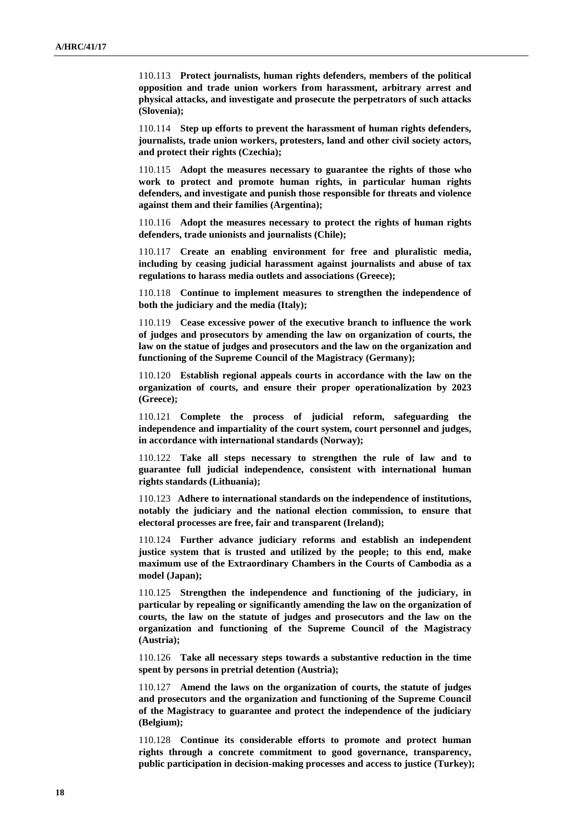110.113 **Protect journalists, human rights defenders, members of the political opposition and trade union workers from harassment, arbitrary arrest and physical attacks, and investigate and prosecute the perpetrators of such attacks (Slovenia);**

110.114 **Step up efforts to prevent the harassment of human rights defenders, journalists, trade union workers, protesters, land and other civil society actors, and protect their rights (Czechia);**

110.115 **Adopt the measures necessary to guarantee the rights of those who work to protect and promote human rights, in particular human rights defenders, and investigate and punish those responsible for threats and violence against them and their families (Argentina);**

110.116 **Adopt the measures necessary to protect the rights of human rights defenders, trade unionists and journalists (Chile);**

110.117 **Create an enabling environment for free and pluralistic media, including by ceasing judicial harassment against journalists and abuse of tax regulations to harass media outlets and associations (Greece);**

110.118 **Continue to implement measures to strengthen the independence of both the judiciary and the media (Italy);**

110.119 **Cease excessive power of the executive branch to influence the work of judges and prosecutors by amending the law on organization of courts, the law on the statue of judges and prosecutors and the law on the organization and functioning of the Supreme Council of the Magistracy (Germany);**

110.120 **Establish regional appeals courts in accordance with the law on the organization of courts, and ensure their proper operationalization by 2023 (Greece);**

110.121 **Complete the process of judicial reform, safeguarding the independence and impartiality of the court system, court personnel and judges, in accordance with international standards (Norway);**

110.122 **Take all steps necessary to strengthen the rule of law and to guarantee full judicial independence, consistent with international human rights standards (Lithuania);**

110.123 **Adhere to international standards on the independence of institutions, notably the judiciary and the national election commission, to ensure that electoral processes are free, fair and transparent (Ireland);**

110.124 **Further advance judiciary reforms and establish an independent justice system that is trusted and utilized by the people; to this end, make maximum use of the Extraordinary Chambers in the Courts of Cambodia as a model (Japan);**

110.125 **Strengthen the independence and functioning of the judiciary, in particular by repealing or significantly amending the law on the organization of courts, the law on the statute of judges and prosecutors and the law on the organization and functioning of the Supreme Council of the Magistracy (Austria);**

110.126 **Take all necessary steps towards a substantive reduction in the time spent by persons in pretrial detention (Austria);**

110.127 **Amend the laws on the organization of courts, the statute of judges and prosecutors and the organization and functioning of the Supreme Council of the Magistracy to guarantee and protect the independence of the judiciary (Belgium);**

110.128 **Continue its considerable efforts to promote and protect human rights through a concrete commitment to good governance, transparency, public participation in decision-making processes and access to justice (Turkey);**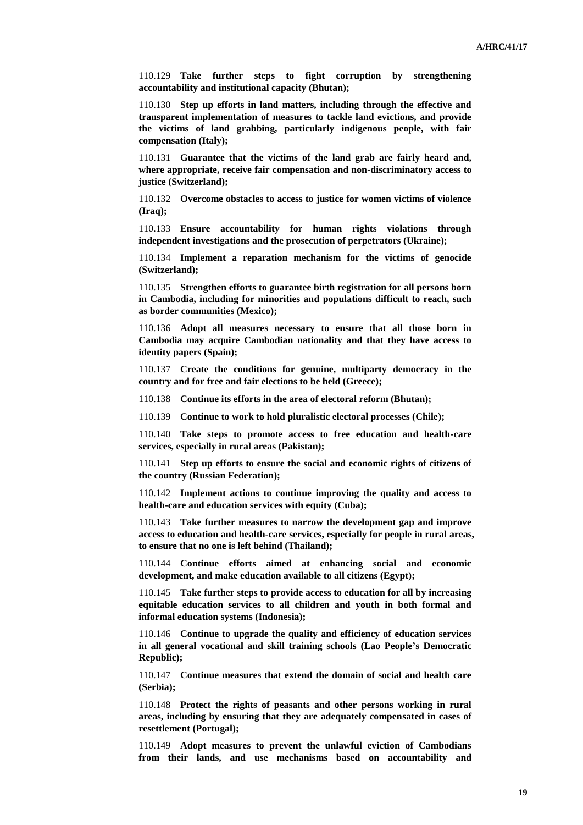110.129 **Take further steps to fight corruption by strengthening accountability and institutional capacity (Bhutan);**

110.130 **Step up efforts in land matters, including through the effective and transparent implementation of measures to tackle land evictions, and provide the victims of land grabbing, particularly indigenous people, with fair compensation (Italy);**

110.131 **Guarantee that the victims of the land grab are fairly heard and, where appropriate, receive fair compensation and non-discriminatory access to justice (Switzerland);**

110.132 **Overcome obstacles to access to justice for women victims of violence (Iraq);**

110.133 **Ensure accountability for human rights violations through independent investigations and the prosecution of perpetrators (Ukraine);**

110.134 **Implement a reparation mechanism for the victims of genocide (Switzerland);**

110.135 **Strengthen efforts to guarantee birth registration for all persons born in Cambodia, including for minorities and populations difficult to reach, such as border communities (Mexico);**

110.136 **Adopt all measures necessary to ensure that all those born in Cambodia may acquire Cambodian nationality and that they have access to identity papers (Spain);**

110.137 **Create the conditions for genuine, multiparty democracy in the country and for free and fair elections to be held (Greece);**

110.138 **Continue its efforts in the area of electoral reform (Bhutan);**

110.139 **Continue to work to hold pluralistic electoral processes (Chile);**

110.140 **Take steps to promote access to free education and health-care services, especially in rural areas (Pakistan);**

110.141 **Step up efforts to ensure the social and economic rights of citizens of the country (Russian Federation);**

110.142 **Implement actions to continue improving the quality and access to health-care and education services with equity (Cuba);**

110.143 **Take further measures to narrow the development gap and improve access to education and health-care services, especially for people in rural areas, to ensure that no one is left behind (Thailand);**

110.144 **Continue efforts aimed at enhancing social and economic development, and make education available to all citizens (Egypt);**

110.145 **Take further steps to provide access to education for all by increasing equitable education services to all children and youth in both formal and informal education systems (Indonesia);**

110.146 **Continue to upgrade the quality and efficiency of education services in all general vocational and skill training schools (Lao People's Democratic Republic);**

110.147 **Continue measures that extend the domain of social and health care (Serbia);**

110.148 **Protect the rights of peasants and other persons working in rural areas, including by ensuring that they are adequately compensated in cases of resettlement (Portugal);**

110.149 **Adopt measures to prevent the unlawful eviction of Cambodians from their lands, and use mechanisms based on accountability and**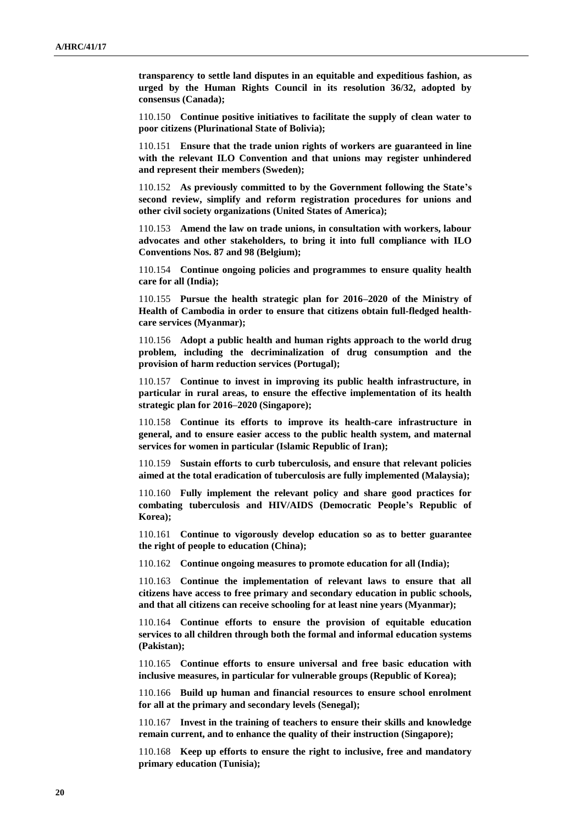**transparency to settle land disputes in an equitable and expeditious fashion, as urged by the Human Rights Council in its resolution 36/32, adopted by consensus (Canada);**

110.150 **Continue positive initiatives to facilitate the supply of clean water to poor citizens (Plurinational State of Bolivia);**

110.151 **Ensure that the trade union rights of workers are guaranteed in line with the relevant ILO Convention and that unions may register unhindered and represent their members (Sweden);**

110.152 **As previously committed to by the Government following the State's second review, simplify and reform registration procedures for unions and other civil society organizations (United States of America);**

110.153 **Amend the law on trade unions, in consultation with workers, labour advocates and other stakeholders, to bring it into full compliance with ILO Conventions Nos. 87 and 98 (Belgium);**

110.154 **Continue ongoing policies and programmes to ensure quality health care for all (India);**

110.155 **Pursue the health strategic plan for 2016–2020 of the Ministry of Health of Cambodia in order to ensure that citizens obtain full-fledged healthcare services (Myanmar);**

110.156 **Adopt a public health and human rights approach to the world drug problem, including the decriminalization of drug consumption and the provision of harm reduction services (Portugal);**

110.157 **Continue to invest in improving its public health infrastructure, in particular in rural areas, to ensure the effective implementation of its health strategic plan for 2016–2020 (Singapore);**

110.158 **Continue its efforts to improve its health-care infrastructure in general, and to ensure easier access to the public health system, and maternal services for women in particular (Islamic Republic of Iran);**

110.159 **Sustain efforts to curb tuberculosis, and ensure that relevant policies aimed at the total eradication of tuberculosis are fully implemented (Malaysia);**

110.160 **Fully implement the relevant policy and share good practices for combating tuberculosis and HIV/AIDS (Democratic People's Republic of Korea);**

110.161 **Continue to vigorously develop education so as to better guarantee the right of people to education (China);**

110.162 **Continue ongoing measures to promote education for all (India);**

110.163 **Continue the implementation of relevant laws to ensure that all citizens have access to free primary and secondary education in public schools, and that all citizens can receive schooling for at least nine years (Myanmar);**

110.164 **Continue efforts to ensure the provision of equitable education services to all children through both the formal and informal education systems (Pakistan);**

110.165 **Continue efforts to ensure universal and free basic education with inclusive measures, in particular for vulnerable groups (Republic of Korea);**

110.166 **Build up human and financial resources to ensure school enrolment for all at the primary and secondary levels (Senegal);**

110.167 **Invest in the training of teachers to ensure their skills and knowledge remain current, and to enhance the quality of their instruction (Singapore);**

110.168 **Keep up efforts to ensure the right to inclusive, free and mandatory primary education (Tunisia);**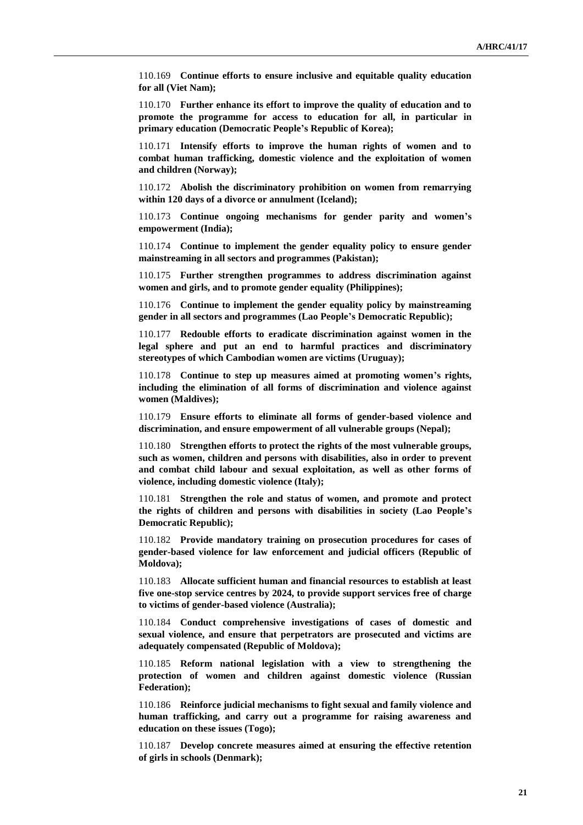110.169 **Continue efforts to ensure inclusive and equitable quality education for all (Viet Nam);**

110.170 **Further enhance its effort to improve the quality of education and to promote the programme for access to education for all, in particular in primary education (Democratic People's Republic of Korea);**

110.171 **Intensify efforts to improve the human rights of women and to combat human trafficking, domestic violence and the exploitation of women and children (Norway);**

110.172 **Abolish the discriminatory prohibition on women from remarrying within 120 days of a divorce or annulment (Iceland);**

110.173 **Continue ongoing mechanisms for gender parity and women's empowerment (India);**

110.174 **Continue to implement the gender equality policy to ensure gender mainstreaming in all sectors and programmes (Pakistan);**

110.175 **Further strengthen programmes to address discrimination against women and girls, and to promote gender equality (Philippines);**

110.176 **Continue to implement the gender equality policy by mainstreaming gender in all sectors and programmes (Lao People's Democratic Republic);**

110.177 **Redouble efforts to eradicate discrimination against women in the legal sphere and put an end to harmful practices and discriminatory stereotypes of which Cambodian women are victims (Uruguay);**

110.178 **Continue to step up measures aimed at promoting women's rights, including the elimination of all forms of discrimination and violence against women (Maldives);**

110.179 **Ensure efforts to eliminate all forms of gender-based violence and discrimination, and ensure empowerment of all vulnerable groups (Nepal);**

110.180 **Strengthen efforts to protect the rights of the most vulnerable groups, such as women, children and persons with disabilities, also in order to prevent and combat child labour and sexual exploitation, as well as other forms of violence, including domestic violence (Italy);**

110.181 **Strengthen the role and status of women, and promote and protect the rights of children and persons with disabilities in society (Lao People's Democratic Republic);**

110.182 **Provide mandatory training on prosecution procedures for cases of gender-based violence for law enforcement and judicial officers (Republic of Moldova);**

110.183 **Allocate sufficient human and financial resources to establish at least five one-stop service centres by 2024, to provide support services free of charge to victims of gender-based violence (Australia);**

110.184 **Conduct comprehensive investigations of cases of domestic and sexual violence, and ensure that perpetrators are prosecuted and victims are adequately compensated (Republic of Moldova);**

110.185 **Reform national legislation with a view to strengthening the protection of women and children against domestic violence (Russian Federation);**

110.186 **Reinforce judicial mechanisms to fight sexual and family violence and human trafficking, and carry out a programme for raising awareness and education on these issues (Togo);**

110.187 **Develop concrete measures aimed at ensuring the effective retention of girls in schools (Denmark);**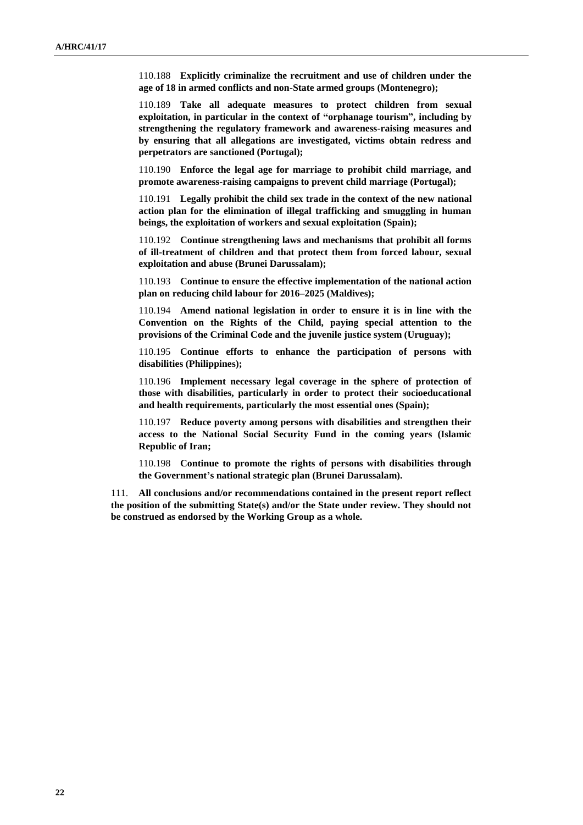110.188 **Explicitly criminalize the recruitment and use of children under the age of 18 in armed conflicts and non-State armed groups (Montenegro);**

110.189 **Take all adequate measures to protect children from sexual exploitation, in particular in the context of "orphanage tourism", including by strengthening the regulatory framework and awareness-raising measures and by ensuring that all allegations are investigated, victims obtain redress and perpetrators are sanctioned (Portugal);**

110.190 **Enforce the legal age for marriage to prohibit child marriage, and promote awareness-raising campaigns to prevent child marriage (Portugal);**

110.191 **Legally prohibit the child sex trade in the context of the new national action plan for the elimination of illegal trafficking and smuggling in human beings, the exploitation of workers and sexual exploitation (Spain);**

110.192 **Continue strengthening laws and mechanisms that prohibit all forms of ill-treatment of children and that protect them from forced labour, sexual exploitation and abuse (Brunei Darussalam);**

110.193 **Continue to ensure the effective implementation of the national action plan on reducing child labour for 2016–2025 (Maldives);**

110.194 **Amend national legislation in order to ensure it is in line with the Convention on the Rights of the Child, paying special attention to the provisions of the Criminal Code and the juvenile justice system (Uruguay);**

110.195 **Continue efforts to enhance the participation of persons with disabilities (Philippines);**

110.196 **Implement necessary legal coverage in the sphere of protection of those with disabilities, particularly in order to protect their socioeducational and health requirements, particularly the most essential ones (Spain);**

110.197 **Reduce poverty among persons with disabilities and strengthen their access to the National Social Security Fund in the coming years (Islamic Republic of Iran;**

110.198 **Continue to promote the rights of persons with disabilities through the Government's national strategic plan (Brunei Darussalam).**

111. **All conclusions and/or recommendations contained in the present report reflect the position of the submitting State(s) and/or the State under review. They should not be construed as endorsed by the Working Group as a whole.**